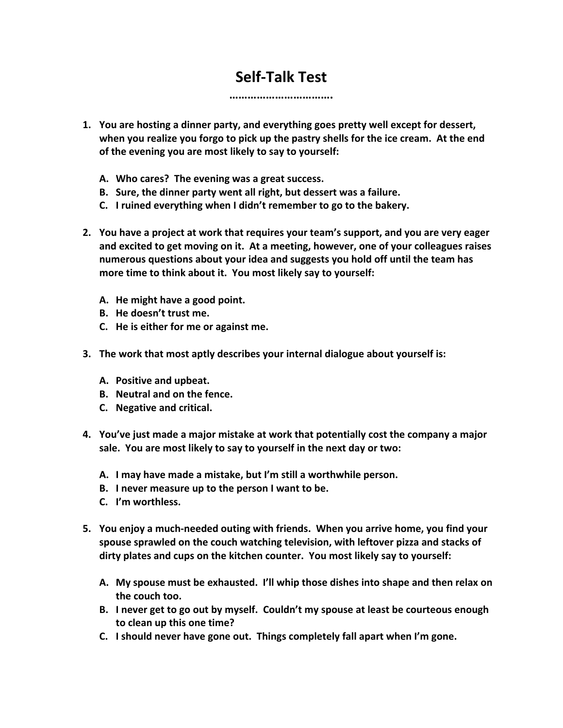## **Self-Talk Test**

**…………………………….**

**1. You are hosting a dinner party, and everything goes pretty well except for dessert, when you realize you forgo to pick up the pastry shells for the ice cream. At the end of the evening you are most likely to say to yourself:**

- **A. Who cares? The evening was a great success.**
- **B. Sure, the dinner party went all right, but dessert was a failure.**
- **C. I ruined everything when I didn't remember to go to the bakery.**
- **2. You have a project at work that requires your team's support, and you are very eager and excited to get moving on it. At a meeting, however, one of your colleagues raises numerous questions about your idea and suggests you hold off until the team has more time to think about it. You most likely say to yourself:**
	- **A. He might have a good point.**
	- **B. He doesn't trust me.**
	- **C. He is either for me or against me.**
- **3. The work that most aptly describes your internal dialogue about yourself is:**
	- **A. Positive and upbeat.**
	- **B. Neutral and on the fence.**
	- **C. Negative and critical.**
- **4. You've just made a major mistake at work that potentially cost the company a major sale. You are most likely to say to yourself in the next day or two:**
	- **A. I may have made a mistake, but I'm still a worthwhile person.**
	- **B. I never measure up to the person I want to be.**
	- **C. I'm worthless.**
- **5. You enjoy a much-needed outing with friends. When you arrive home, you find your spouse sprawled on the couch watching television, with leftover pizza and stacks of dirty plates and cups on the kitchen counter. You most likely say to yourself:**
	- **A. My spouse must be exhausted. I'll whip those dishes into shape and then relax on the couch too.**
	- **B. I never get to go out by myself. Couldn't my spouse at least be courteous enough to clean up this one time?**
	- **C. I should never have gone out. Things completely fall apart when I'm gone.**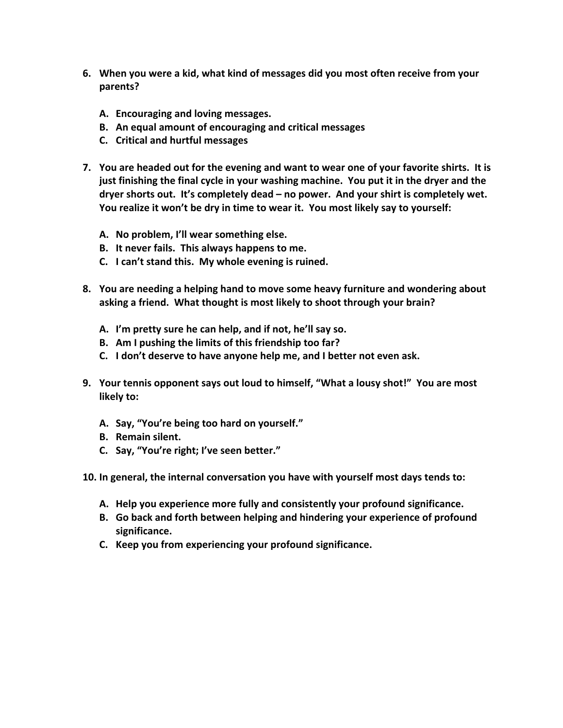- **6. When you were a kid, what kind of messages did you most often receive from your parents?**
	- **A. Encouraging and loving messages.**
	- **B. An equal amount of encouraging and critical messages**
	- **C. Critical and hurtful messages**
- **7. You are headed out for the evening and want to wear one of your favorite shirts. It is just finishing the final cycle in your washing machine. You put it in the dryer and the dryer shorts out. It's completely dead – no power. And your shirt is completely wet. You realize it won't be dry in time to wear it. You most likely say to yourself:**
	- **A. No problem, I'll wear something else.**
	- **B. It never fails. This always happens to me.**
	- **C. I can't stand this. My whole evening is ruined.**
- **8. You are needing a helping hand to move some heavy furniture and wondering about asking a friend. What thought is most likely to shoot through your brain?**
	- **A. I'm pretty sure he can help, and if not, he'll say so.**
	- **B. Am I pushing the limits of this friendship too far?**
	- **C. I don't deserve to have anyone help me, and I better not even ask.**
- **9. Your tennis opponent says out loud to himself, "What a lousy shot!" You are most likely to:**
	- **A. Say, "You're being too hard on yourself."**
	- **B. Remain silent.**
	- **C. Say, "You're right; I've seen better."**
- **10. In general, the internal conversation you have with yourself most days tends to:**
	- **A. Help you experience more fully and consistently your profound significance.**
	- **B. Go back and forth between helping and hindering your experience of profound significance.**
	- **C. Keep you from experiencing your profound significance.**